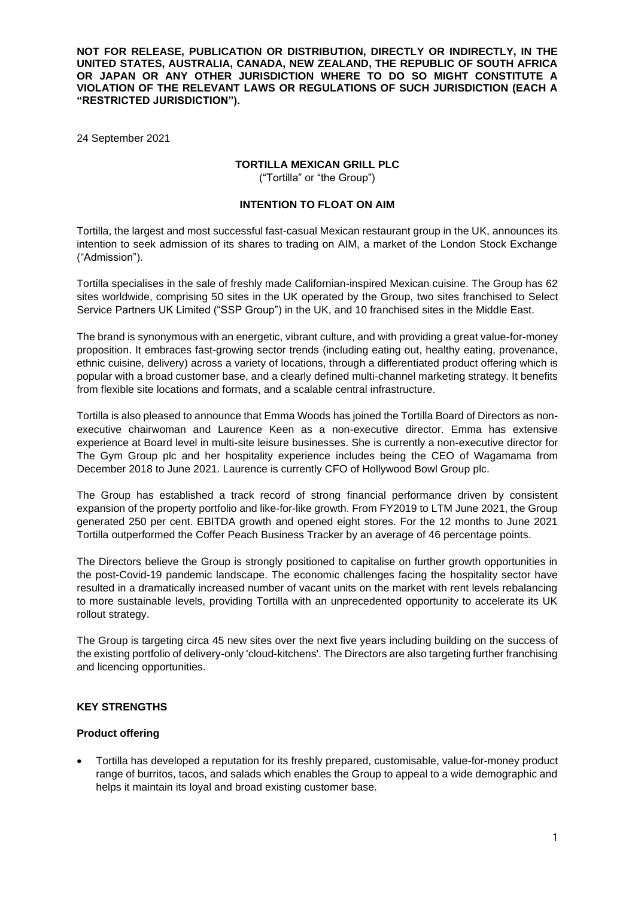**NOT FOR RELEASE, PUBLICATION OR DISTRIBUTION, DIRECTLY OR INDIRECTLY, IN THE UNITED STATES, AUSTRALIA, CANADA, NEW ZEALAND, THE REPUBLIC OF SOUTH AFRICA OR JAPAN OR ANY OTHER JURISDICTION WHERE TO DO SO MIGHT CONSTITUTE A VIOLATION OF THE RELEVANT LAWS OR REGULATIONS OF SUCH JURISDICTION (EACH A "RESTRICTED JURISDICTION").**

24 September 2021

## **TORTILLA MEXICAN GRILL PLC**

("Tortilla" or "the Group")

## **INTENTION TO FLOAT ON AIM**

Tortilla, the largest and most successful fast-casual Mexican restaurant group in the UK, announces its intention to seek admission of its shares to trading on AIM, a market of the London Stock Exchange ("Admission").

Tortilla specialises in the sale of freshly made Californian-inspired Mexican cuisine. The Group has 62 sites worldwide, comprising 50 sites in the UK operated by the Group, two sites franchised to Select Service Partners UK Limited ("SSP Group") in the UK, and 10 franchised sites in the Middle East.

The brand is synonymous with an energetic, vibrant culture, and with providing a great value-for-money proposition. It embraces fast-growing sector trends (including eating out, healthy eating, provenance, ethnic cuisine, delivery) across a variety of locations, through a differentiated product offering which is popular with a broad customer base, and a clearly defined multi-channel marketing strategy. It benefits from flexible site locations and formats, and a scalable central infrastructure.

Tortilla is also pleased to announce that Emma Woods has joined the Tortilla Board of Directors as nonexecutive chairwoman and Laurence Keen as a non-executive director. Emma has extensive experience at Board level in multi-site leisure businesses. She is currently a non-executive director for The Gym Group plc and her hospitality experience includes being the CEO of Wagamama from December 2018 to June 2021. Laurence is currently CFO of Hollywood Bowl Group plc.

The Group has established a track record of strong financial performance driven by consistent expansion of the property portfolio and like-for-like growth. From FY2019 to LTM June 2021, the Group generated 250 per cent. EBITDA growth and opened eight stores. For the 12 months to June 2021 Tortilla outperformed the Coffer Peach Business Tracker by an average of 46 percentage points.

The Directors believe the Group is strongly positioned to capitalise on further growth opportunities in the post-Covid-19 pandemic landscape. The economic challenges facing the hospitality sector have resulted in a dramatically increased number of vacant units on the market with rent levels rebalancing to more sustainable levels, providing Tortilla with an unprecedented opportunity to accelerate its UK rollout strategy.

The Group is targeting circa 45 new sites over the next five years including building on the success of the existing portfolio of delivery-only 'cloud-kitchens'. The Directors are also targeting further franchising and licencing opportunities.

# **KEY STRENGTHS**

#### **Product offering**

• Tortilla has developed a reputation for its freshly prepared, customisable, value-for-money product range of burritos, tacos, and salads which enables the Group to appeal to a wide demographic and helps it maintain its loyal and broad existing customer base.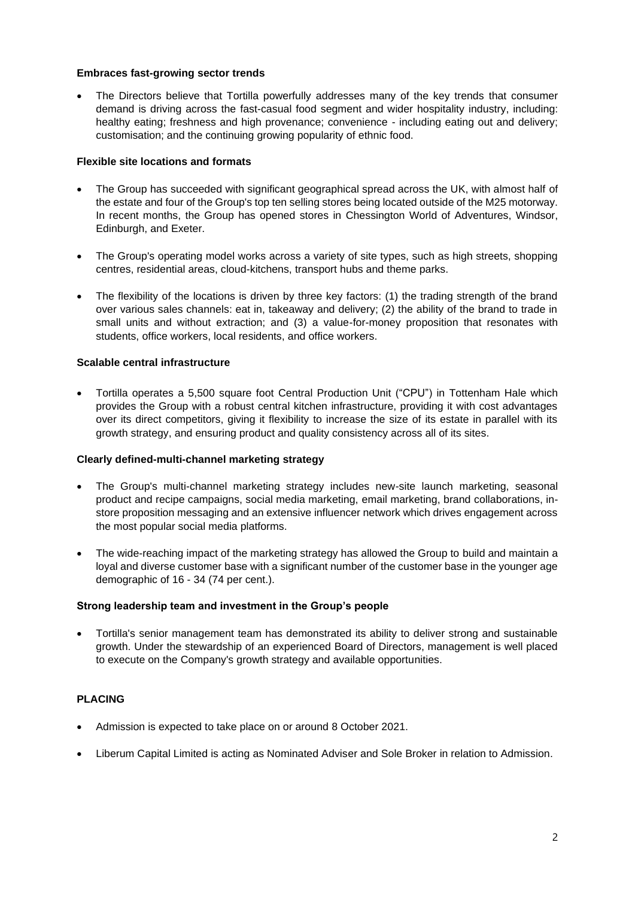### **Embraces fast-growing sector trends**

• The Directors believe that Tortilla powerfully addresses many of the key trends that consumer demand is driving across the fast-casual food segment and wider hospitality industry, including: healthy eating; freshness and high provenance; convenience - including eating out and delivery; customisation; and the continuing growing popularity of ethnic food.

## **Flexible site locations and formats**

- The Group has succeeded with significant geographical spread across the UK, with almost half of the estate and four of the Group's top ten selling stores being located outside of the M25 motorway. In recent months, the Group has opened stores in Chessington World of Adventures, Windsor, Edinburgh, and Exeter.
- The Group's operating model works across a variety of site types, such as high streets, shopping centres, residential areas, cloud-kitchens, transport hubs and theme parks.
- The flexibility of the locations is driven by three key factors: (1) the trading strength of the brand over various sales channels: eat in, takeaway and delivery; (2) the ability of the brand to trade in small units and without extraction; and (3) a value-for-money proposition that resonates with students, office workers, local residents, and office workers.

### **Scalable central infrastructure**

• Tortilla operates a 5,500 square foot Central Production Unit ("CPU") in Tottenham Hale which provides the Group with a robust central kitchen infrastructure, providing it with cost advantages over its direct competitors, giving it flexibility to increase the size of its estate in parallel with its growth strategy, and ensuring product and quality consistency across all of its sites.

#### **Clearly defined-multi-channel marketing strategy**

- The Group's multi-channel marketing strategy includes new-site launch marketing, seasonal product and recipe campaigns, social media marketing, email marketing, brand collaborations, instore proposition messaging and an extensive influencer network which drives engagement across the most popular social media platforms.
- The wide-reaching impact of the marketing strategy has allowed the Group to build and maintain a loyal and diverse customer base with a significant number of the customer base in the younger age demographic of 16 - 34 (74 per cent.).

#### **Strong leadership team and investment in the Group's people**

• Tortilla's senior management team has demonstrated its ability to deliver strong and sustainable growth. Under the stewardship of an experienced Board of Directors, management is well placed to execute on the Company's growth strategy and available opportunities.

# **PLACING**

- Admission is expected to take place on or around 8 October 2021.
- Liberum Capital Limited is acting as Nominated Adviser and Sole Broker in relation to Admission.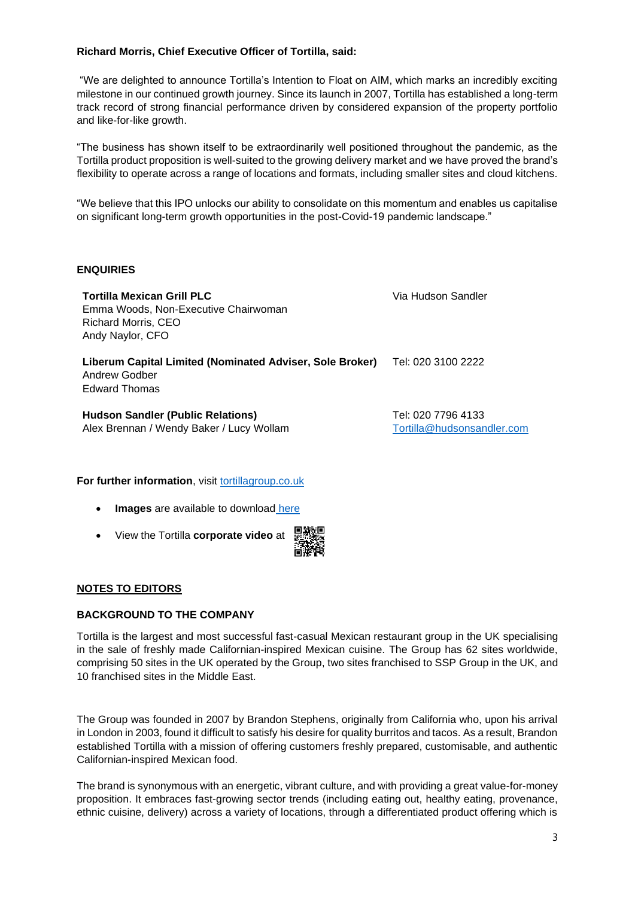# **Richard Morris, Chief Executive Officer of Tortilla, said:**

"We are delighted to announce Tortilla's Intention to Float on AIM, which marks an incredibly exciting milestone in our continued growth journey. Since its launch in 2007, Tortilla has established a long-term track record of strong financial performance driven by considered expansion of the property portfolio and like-for-like growth.

"The business has shown itself to be extraordinarily well positioned throughout the pandemic, as the Tortilla product proposition is well-suited to the growing delivery market and we have proved the brand's flexibility to operate across a range of locations and formats, including smaller sites and cloud kitchens.

"We believe that this IPO unlocks our ability to consolidate on this momentum and enables us capitalise on significant long-term growth opportunities in the post-Covid-19 pandemic landscape."

# **ENQUIRIES**

| <b>Tortilla Mexican Grill PLC</b><br>Emma Woods, Non-Executive Chairwoman<br><b>Richard Morris, CEO</b><br>Andy Naylor, CFO | Via Hudson Sandler                               |
|-----------------------------------------------------------------------------------------------------------------------------|--------------------------------------------------|
| Liberum Capital Limited (Nominated Adviser, Sole Broker)<br>Andrew Godber<br>Edward Thomas                                  | Tel: 020 3100 2222                               |
| <b>Hudson Sandler (Public Relations)</b><br>Alex Brennan / Wendy Baker / Lucy Wollam                                        | Tel: 020 7796 4133<br>Tortilla@hudsonsandler.com |

**For further information**, visit [tortillagroup.co.uk](https://tortillagroup.co.uk/)

- **Images** are available to download [here](https://tortillagroup.co.uk/image-gallery/)
- View the Tortilla **corporate video** at

## **NOTES TO EDITORS**

## **BACKGROUND TO THE COMPANY**

Tortilla is the largest and most successful fast-casual Mexican restaurant group in the UK specialising in the sale of freshly made Californian-inspired Mexican cuisine. The Group has 62 sites worldwide, comprising 50 sites in the UK operated by the Group, two sites franchised to SSP Group in the UK, and 10 franchised sites in the Middle East.

The Group was founded in 2007 by Brandon Stephens, originally from California who, upon his arrival in London in 2003, found it difficult to satisfy his desire for quality burritos and tacos. As a result, Brandon established Tortilla with a mission of offering customers freshly prepared, customisable, and authentic Californian-inspired Mexican food.

The brand is synonymous with an energetic, vibrant culture, and with providing a great value-for-money proposition. It embraces fast-growing sector trends (including eating out, healthy eating, provenance, ethnic cuisine, delivery) across a variety of locations, through a differentiated product offering which is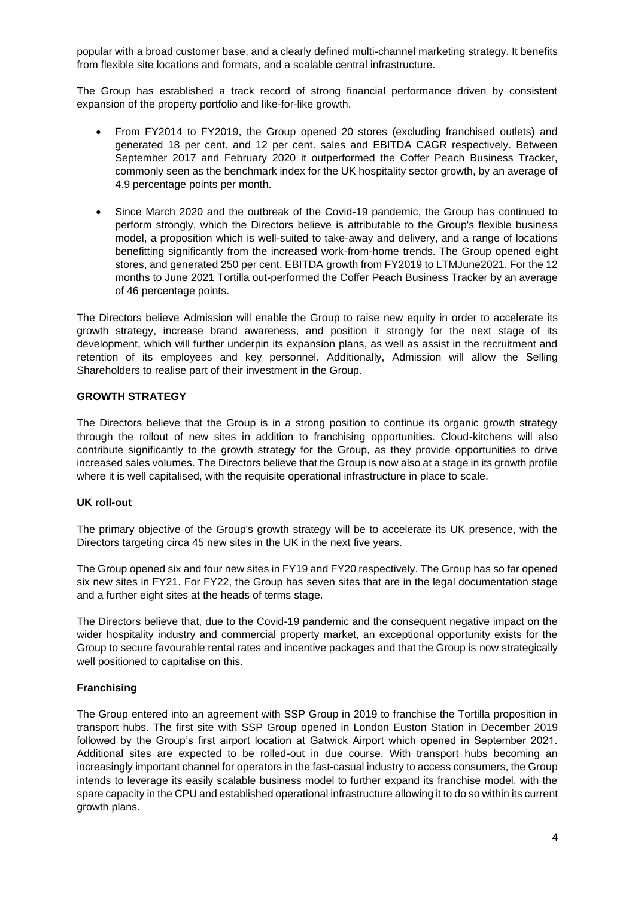popular with a broad customer base, and a clearly defined multi-channel marketing strategy. It benefits from flexible site locations and formats, and a scalable central infrastructure.

The Group has established a track record of strong financial performance driven by consistent expansion of the property portfolio and like-for-like growth.

- From FY2014 to FY2019, the Group opened 20 stores (excluding franchised outlets) and generated 18 per cent. and 12 per cent. sales and EBITDA CAGR respectively. Between September 2017 and February 2020 it outperformed the Coffer Peach Business Tracker, commonly seen as the benchmark index for the UK hospitality sector growth, by an average of 4.9 percentage points per month.
- Since March 2020 and the outbreak of the Covid-19 pandemic, the Group has continued to perform strongly, which the Directors believe is attributable to the Group's flexible business model, a proposition which is well-suited to take-away and delivery, and a range of locations benefitting significantly from the increased work-from-home trends. The Group opened eight stores, and generated 250 per cent. EBITDA growth from FY2019 to LTMJune2021. For the 12 months to June 2021 Tortilla out-performed the Coffer Peach Business Tracker by an average of 46 percentage points.

The Directors believe Admission will enable the Group to raise new equity in order to accelerate its growth strategy, increase brand awareness, and position it strongly for the next stage of its development, which will further underpin its expansion plans, as well as assist in the recruitment and retention of its employees and key personnel. Additionally, Admission will allow the Selling Shareholders to realise part of their investment in the Group.

### **GROWTH STRATEGY**

The Directors believe that the Group is in a strong position to continue its organic growth strategy through the rollout of new sites in addition to franchising opportunities. Cloud-kitchens will also contribute significantly to the growth strategy for the Group, as they provide opportunities to drive increased sales volumes. The Directors believe that the Group is now also at a stage in its growth profile where it is well capitalised, with the requisite operational infrastructure in place to scale.

#### **UK roll-out**

The primary objective of the Group's growth strategy will be to accelerate its UK presence, with the Directors targeting circa 45 new sites in the UK in the next five years.

The Group opened six and four new sites in FY19 and FY20 respectively. The Group has so far opened six new sites in FY21. For FY22, the Group has seven sites that are in the legal documentation stage and a further eight sites at the heads of terms stage.

The Directors believe that, due to the Covid-19 pandemic and the consequent negative impact on the wider hospitality industry and commercial property market, an exceptional opportunity exists for the Group to secure favourable rental rates and incentive packages and that the Group is now strategically well positioned to capitalise on this.

#### **Franchising**

The Group entered into an agreement with SSP Group in 2019 to franchise the Tortilla proposition in transport hubs. The first site with SSP Group opened in London Euston Station in December 2019 followed by the Group's first airport location at Gatwick Airport which opened in September 2021. Additional sites are expected to be rolled-out in due course. With transport hubs becoming an increasingly important channel for operators in the fast-casual industry to access consumers, the Group intends to leverage its easily scalable business model to further expand its franchise model, with the spare capacity in the CPU and established operational infrastructure allowing it to do so within its current growth plans.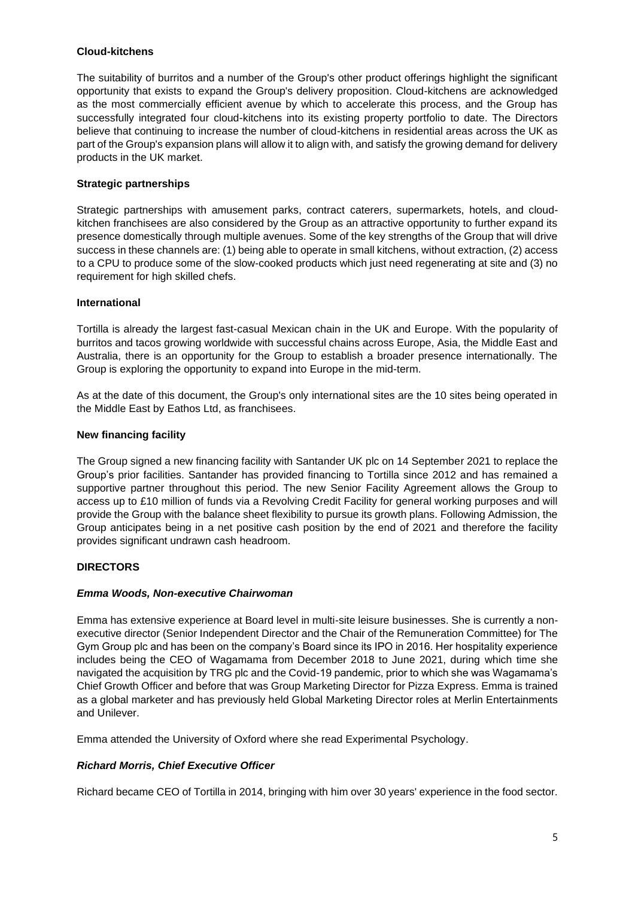## **Cloud-kitchens**

The suitability of burritos and a number of the Group's other product offerings highlight the significant opportunity that exists to expand the Group's delivery proposition. Cloud-kitchens are acknowledged as the most commercially efficient avenue by which to accelerate this process, and the Group has successfully integrated four cloud-kitchens into its existing property portfolio to date. The Directors believe that continuing to increase the number of cloud-kitchens in residential areas across the UK as part of the Group's expansion plans will allow it to align with, and satisfy the growing demand for delivery products in the UK market.

# **Strategic partnerships**

Strategic partnerships with amusement parks, contract caterers, supermarkets, hotels, and cloudkitchen franchisees are also considered by the Group as an attractive opportunity to further expand its presence domestically through multiple avenues. Some of the key strengths of the Group that will drive success in these channels are: (1) being able to operate in small kitchens, without extraction, (2) access to a CPU to produce some of the slow-cooked products which just need regenerating at site and (3) no requirement for high skilled chefs.

### **International**

Tortilla is already the largest fast-casual Mexican chain in the UK and Europe. With the popularity of burritos and tacos growing worldwide with successful chains across Europe, Asia, the Middle East and Australia, there is an opportunity for the Group to establish a broader presence internationally. The Group is exploring the opportunity to expand into Europe in the mid-term.

As at the date of this document, the Group's only international sites are the 10 sites being operated in the Middle East by Eathos Ltd, as franchisees.

#### **New financing facility**

The Group signed a new financing facility with Santander UK plc on 14 September 2021 to replace the Group's prior facilities. Santander has provided financing to Tortilla since 2012 and has remained a supportive partner throughout this period. The new Senior Facility Agreement allows the Group to access up to £10 million of funds via a Revolving Credit Facility for general working purposes and will provide the Group with the balance sheet flexibility to pursue its growth plans. Following Admission, the Group anticipates being in a net positive cash position by the end of 2021 and therefore the facility provides significant undrawn cash headroom.

#### **DIRECTORS**

#### *Emma Woods, Non-executive Chairwoman*

Emma has extensive experience at Board level in multi-site leisure businesses. She is currently a nonexecutive director (Senior Independent Director and the Chair of the Remuneration Committee) for The Gym Group plc and has been on the company's Board since its IPO in 2016. Her hospitality experience includes being the CEO of Wagamama from December 2018 to June 2021, during which time she navigated the acquisition by TRG plc and the Covid-19 pandemic, prior to which she was Wagamama's Chief Growth Officer and before that was Group Marketing Director for Pizza Express. Emma is trained as a global marketer and has previously held Global Marketing Director roles at Merlin Entertainments and Unilever.

Emma attended the University of Oxford where she read Experimental Psychology.

## *Richard Morris, Chief Executive Officer*

Richard became CEO of Tortilla in 2014, bringing with him over 30 years' experience in the food sector.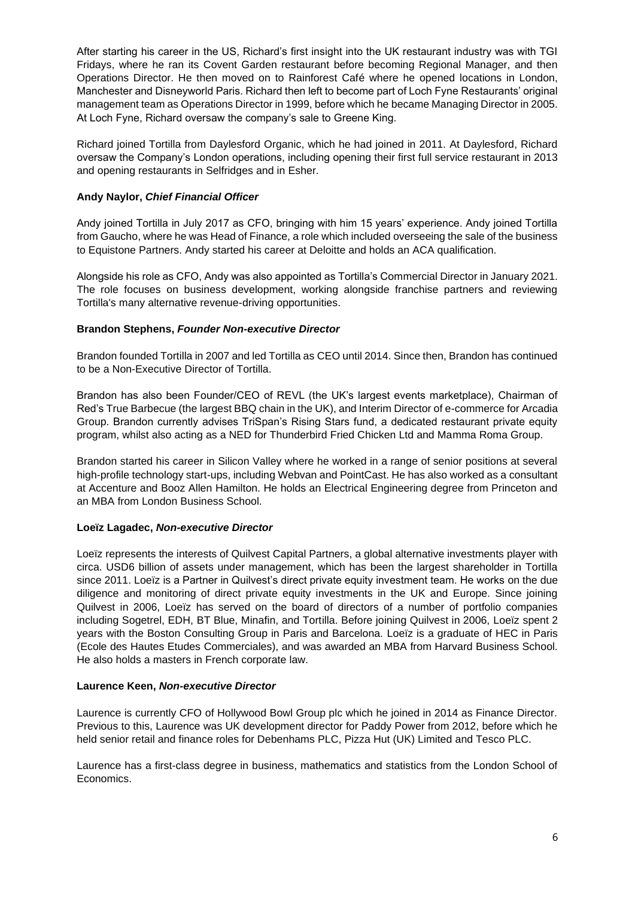After starting his career in the US, Richard's first insight into the UK restaurant industry was with TGI Fridays, where he ran its Covent Garden restaurant before becoming Regional Manager, and then Operations Director. He then moved on to Rainforest Café where he opened locations in London, Manchester and Disneyworld Paris. Richard then left to become part of Loch Fyne Restaurants' original management team as Operations Director in 1999, before which he became Managing Director in 2005. At Loch Fyne, Richard oversaw the company's sale to Greene King.

Richard joined Tortilla from Daylesford Organic, which he had joined in 2011. At Daylesford, Richard oversaw the Company's London operations, including opening their first full service restaurant in 2013 and opening restaurants in Selfridges and in Esher.

## **Andy Naylor,** *Chief Financial Officer*

Andy joined Tortilla in July 2017 as CFO, bringing with him 15 years' experience. Andy joined Tortilla from Gaucho, where he was Head of Finance, a role which included overseeing the sale of the business to Equistone Partners. Andy started his career at Deloitte and holds an ACA qualification.

Alongside his role as CFO, Andy was also appointed as Tortilla's Commercial Director in January 2021. The role focuses on business development, working alongside franchise partners and reviewing Tortilla's many alternative revenue-driving opportunities.

# **Brandon Stephens,** *Founder Non-executive Director*

Brandon founded Tortilla in 2007 and led Tortilla as CEO until 2014. Since then, Brandon has continued to be a Non-Executive Director of Tortilla.

Brandon has also been Founder/CEO of REVL (the UK's largest events marketplace), Chairman of Red's True Barbecue (the largest BBQ chain in the UK), and Interim Director of e-commerce for Arcadia Group. Brandon currently advises TriSpan's Rising Stars fund, a dedicated restaurant private equity program, whilst also acting as a NED for Thunderbird Fried Chicken Ltd and Mamma Roma Group.

Brandon started his career in Silicon Valley where he worked in a range of senior positions at several high-profile technology start-ups, including Webvan and PointCast. He has also worked as a consultant at Accenture and Booz Allen Hamilton. He holds an Electrical Engineering degree from Princeton and an MBA from London Business School.

## **Loeïz Lagadec,** *Non-executive Director*

Loeïz represents the interests of Quilvest Capital Partners, a global alternative investments player with circa. USD6 billion of assets under management, which has been the largest shareholder in Tortilla since 2011. Loeïz is a Partner in Quilvest's direct private equity investment team. He works on the due diligence and monitoring of direct private equity investments in the UK and Europe. Since joining Quilvest in 2006, Loeïz has served on the board of directors of a number of portfolio companies including Sogetrel, EDH, BT Blue, Minafin, and Tortilla. Before joining Quilvest in 2006, Loeïz spent 2 years with the Boston Consulting Group in Paris and Barcelona. Loeïz is a graduate of HEC in Paris (Ecole des Hautes Etudes Commerciales), and was awarded an MBA from Harvard Business School. He also holds a masters in French corporate law.

## **Laurence Keen,** *Non-executive Director*

Laurence is currently CFO of Hollywood Bowl Group plc which he joined in 2014 as Finance Director. Previous to this, Laurence was UK development director for Paddy Power from 2012, before which he held senior retail and finance roles for Debenhams PLC, Pizza Hut (UK) Limited and Tesco PLC.

Laurence has a first-class degree in business, mathematics and statistics from the London School of Economics.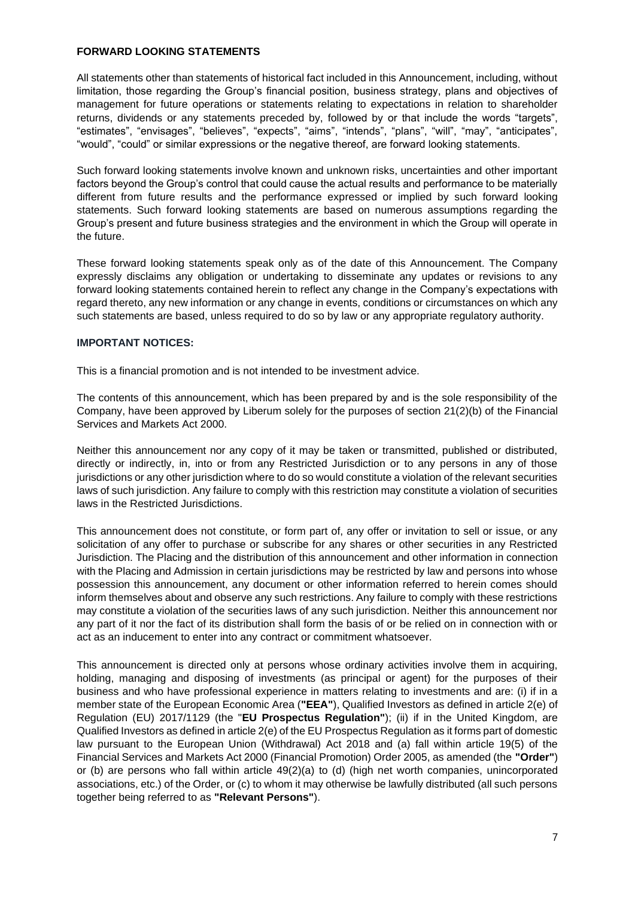### **FORWARD LOOKING STATEMENTS**

All statements other than statements of historical fact included in this Announcement, including, without limitation, those regarding the Group's financial position, business strategy, plans and objectives of management for future operations or statements relating to expectations in relation to shareholder returns, dividends or any statements preceded by, followed by or that include the words "targets", "estimates", "envisages", "believes", "expects", "aims", "intends", "plans", "will", "may", "anticipates", "would", "could" or similar expressions or the negative thereof, are forward looking statements.

Such forward looking statements involve known and unknown risks, uncertainties and other important factors beyond the Group's control that could cause the actual results and performance to be materially different from future results and the performance expressed or implied by such forward looking statements. Such forward looking statements are based on numerous assumptions regarding the Group's present and future business strategies and the environment in which the Group will operate in the future.

These forward looking statements speak only as of the date of this Announcement. The Company expressly disclaims any obligation or undertaking to disseminate any updates or revisions to any forward looking statements contained herein to reflect any change in the Company's expectations with regard thereto, any new information or any change in events, conditions or circumstances on which any such statements are based, unless required to do so by law or any appropriate regulatory authority.

### **IMPORTANT NOTICES:**

This is a financial promotion and is not intended to be investment advice.

The contents of this announcement, which has been prepared by and is the sole responsibility of the Company, have been approved by Liberum solely for the purposes of section 21(2)(b) of the Financial Services and Markets Act 2000.

Neither this announcement nor any copy of it may be taken or transmitted, published or distributed, directly or indirectly, in, into or from any Restricted Jurisdiction or to any persons in any of those jurisdictions or any other jurisdiction where to do so would constitute a violation of the relevant securities laws of such jurisdiction. Any failure to comply with this restriction may constitute a violation of securities laws in the Restricted Jurisdictions.

This announcement does not constitute, or form part of, any offer or invitation to sell or issue, or any solicitation of any offer to purchase or subscribe for any shares or other securities in any Restricted Jurisdiction. The Placing and the distribution of this announcement and other information in connection with the Placing and Admission in certain jurisdictions may be restricted by law and persons into whose possession this announcement, any document or other information referred to herein comes should inform themselves about and observe any such restrictions. Any failure to comply with these restrictions may constitute a violation of the securities laws of any such jurisdiction. Neither this announcement nor any part of it nor the fact of its distribution shall form the basis of or be relied on in connection with or act as an inducement to enter into any contract or commitment whatsoever.

This announcement is directed only at persons whose ordinary activities involve them in acquiring, holding, managing and disposing of investments (as principal or agent) for the purposes of their business and who have professional experience in matters relating to investments and are: (i) if in a member state of the European Economic Area (**"EEA"**), Qualified Investors as defined in article 2(e) of Regulation (EU) 2017/1129 (the "**EU Prospectus Regulation"**); (ii) if in the United Kingdom, are Qualified Investors as defined in article 2(e) of the EU Prospectus Regulation as it forms part of domestic law pursuant to the European Union (Withdrawal) Act 2018 and (a) fall within article 19(5) of the Financial Services and Markets Act 2000 (Financial Promotion) Order 2005, as amended (the **"Order"**) or (b) are persons who fall within article 49(2)(a) to (d) (high net worth companies, unincorporated associations, etc.) of the Order, or (c) to whom it may otherwise be lawfully distributed (all such persons together being referred to as **"Relevant Persons"**).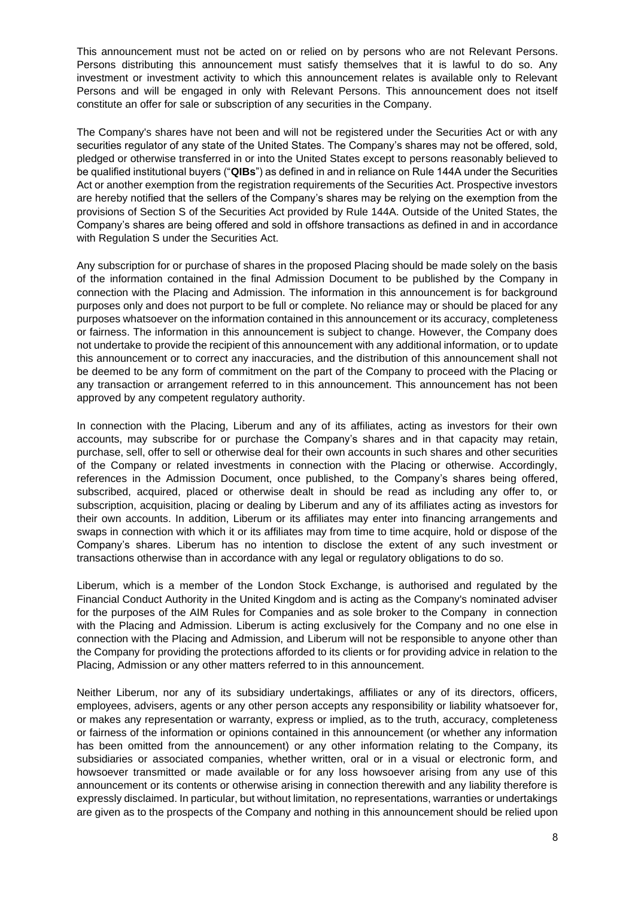This announcement must not be acted on or relied on by persons who are not Relevant Persons. Persons distributing this announcement must satisfy themselves that it is lawful to do so. Any investment or investment activity to which this announcement relates is available only to Relevant Persons and will be engaged in only with Relevant Persons. This announcement does not itself constitute an offer for sale or subscription of any securities in the Company.

The Company's shares have not been and will not be registered under the Securities Act or with any securities regulator of any state of the United States. The Company's shares may not be offered, sold, pledged or otherwise transferred in or into the United States except to persons reasonably believed to be qualified institutional buyers ("**QIBs**") as defined in and in reliance on Rule 144A under the Securities Act or another exemption from the registration requirements of the Securities Act. Prospective investors are hereby notified that the sellers of the Company's shares may be relying on the exemption from the provisions of Section S of the Securities Act provided by Rule 144A. Outside of the United States, the Company's shares are being offered and sold in offshore transactions as defined in and in accordance with Regulation S under the Securities Act.

Any subscription for or purchase of shares in the proposed Placing should be made solely on the basis of the information contained in the final Admission Document to be published by the Company in connection with the Placing and Admission. The information in this announcement is for background purposes only and does not purport to be full or complete. No reliance may or should be placed for any purposes whatsoever on the information contained in this announcement or its accuracy, completeness or fairness. The information in this announcement is subject to change. However, the Company does not undertake to provide the recipient of this announcement with any additional information, or to update this announcement or to correct any inaccuracies, and the distribution of this announcement shall not be deemed to be any form of commitment on the part of the Company to proceed with the Placing or any transaction or arrangement referred to in this announcement. This announcement has not been approved by any competent regulatory authority.

In connection with the Placing, Liberum and any of its affiliates, acting as investors for their own accounts, may subscribe for or purchase the Company's shares and in that capacity may retain, purchase, sell, offer to sell or otherwise deal for their own accounts in such shares and other securities of the Company or related investments in connection with the Placing or otherwise. Accordingly, references in the Admission Document, once published, to the Company's shares being offered, subscribed, acquired, placed or otherwise dealt in should be read as including any offer to, or subscription, acquisition, placing or dealing by Liberum and any of its affiliates acting as investors for their own accounts. In addition, Liberum or its affiliates may enter into financing arrangements and swaps in connection with which it or its affiliates may from time to time acquire, hold or dispose of the Company's shares. Liberum has no intention to disclose the extent of any such investment or transactions otherwise than in accordance with any legal or regulatory obligations to do so.

Liberum, which is a member of the London Stock Exchange, is authorised and regulated by the Financial Conduct Authority in the United Kingdom and is acting as the Company's nominated adviser for the purposes of the AIM Rules for Companies and as sole broker to the Company in connection with the Placing and Admission. Liberum is acting exclusively for the Company and no one else in connection with the Placing and Admission, and Liberum will not be responsible to anyone other than the Company for providing the protections afforded to its clients or for providing advice in relation to the Placing, Admission or any other matters referred to in this announcement.

Neither Liberum, nor any of its subsidiary undertakings, affiliates or any of its directors, officers, employees, advisers, agents or any other person accepts any responsibility or liability whatsoever for, or makes any representation or warranty, express or implied, as to the truth, accuracy, completeness or fairness of the information or opinions contained in this announcement (or whether any information has been omitted from the announcement) or any other information relating to the Company, its subsidiaries or associated companies, whether written, oral or in a visual or electronic form, and howsoever transmitted or made available or for any loss howsoever arising from any use of this announcement or its contents or otherwise arising in connection therewith and any liability therefore is expressly disclaimed. In particular, but without limitation, no representations, warranties or undertakings are given as to the prospects of the Company and nothing in this announcement should be relied upon